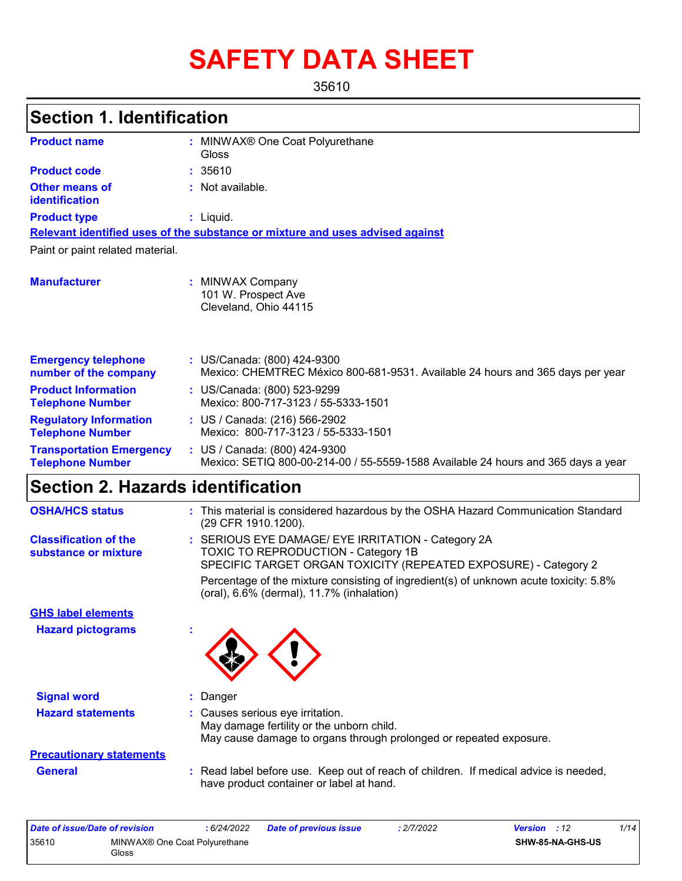# **SAFETY DATA SHEET**

35610

| <b>Section 1. Identification</b>                           |                                                                                                                                                                                                                                                     |
|------------------------------------------------------------|-----------------------------------------------------------------------------------------------------------------------------------------------------------------------------------------------------------------------------------------------------|
| <b>Product name</b>                                        | : MINWAX® One Coat Polyurethane<br>Gloss                                                                                                                                                                                                            |
| <b>Product code</b>                                        | : 35610                                                                                                                                                                                                                                             |
| <b>Other means of</b><br>identification                    | : Not available.                                                                                                                                                                                                                                    |
| <b>Product type</b>                                        | : Liquid.                                                                                                                                                                                                                                           |
|                                                            | Relevant identified uses of the substance or mixture and uses advised against                                                                                                                                                                       |
| Paint or paint related material.                           |                                                                                                                                                                                                                                                     |
| <b>Manufacturer</b>                                        | : MINWAX Company<br>101 W. Prospect Ave<br>Cleveland, Ohio 44115                                                                                                                                                                                    |
| <b>Emergency telephone</b><br>number of the company        | : US/Canada: (800) 424-9300<br>Mexico: CHEMTREC México 800-681-9531. Available 24 hours and 365 days per year                                                                                                                                       |
| <b>Product Information</b><br><b>Telephone Number</b>      | : US/Canada: (800) 523-9299<br>Mexico: 800-717-3123 / 55-5333-1501                                                                                                                                                                                  |
| <b>Regulatory Information</b><br><b>Telephone Number</b>   | : US / Canada: (216) 566-2902<br>Mexico: 800-717-3123 / 55-5333-1501                                                                                                                                                                                |
| <b>Transportation Emergency</b><br><b>Telephone Number</b> | : US / Canada: (800) 424-9300<br>Mexico: SETIQ 800-00-214-00 / 55-5559-1588 Available 24 hours and 365 days a year                                                                                                                                  |
| <b>Section 2. Hazards identification</b>                   |                                                                                                                                                                                                                                                     |
| <b>OSHA/HCS status</b>                                     | : This material is considered hazardous by the OSHA Hazard Communication Standard<br>(29 CFR 1910.1200).                                                                                                                                            |
| <b>Classification of the</b><br>substance or mixture       | SERIOUS EYE DAMAGE/ EYE IRRITATION - Category 2A<br>TOXIC TO REPRODUCTION - Category 1B<br>SPECIFIC TARGET ORGAN TOXICITY (REPEATED EXPOSURE) - Category 2<br>Percentage of the mixture consisting of ingredient(s) of unknown acute toxicity: 5.8% |
|                                                            | (oral), 6.6% (dermal), 11.7% (inhalation)                                                                                                                                                                                                           |
| <b>GHS label elements</b>                                  |                                                                                                                                                                                                                                                     |
| <b>Hazard pictograms</b>                                   |                                                                                                                                                                                                                                                     |
| <b>Signal word</b>                                         | Danger                                                                                                                                                                                                                                              |
| <b>Hazard statements</b>                                   | : Causes serious eye irritation.<br>May damage fertility or the unborn child.<br>May cause damage to organs through prolonged or repeated exposure.                                                                                                 |
| <b>Precautionary statements</b>                            |                                                                                                                                                                                                                                                     |
| <b>General</b>                                             | : Read label before use. Keep out of reach of children. If medical advice is needed,<br>have product container or label at hand.                                                                                                                    |

| Date of issue/Date of revision |                                                    | 6/24/2022 | <b>Date of previous issue</b> | : 2/7/2022 | <b>Version</b> : 12 | 1/14 |
|--------------------------------|----------------------------------------------------|-----------|-------------------------------|------------|---------------------|------|
| 35610                          | MINWAX <sup>®</sup> One Coat Polyurethane<br>Gloss |           |                               |            | SHW-85-NA-GHS-US    |      |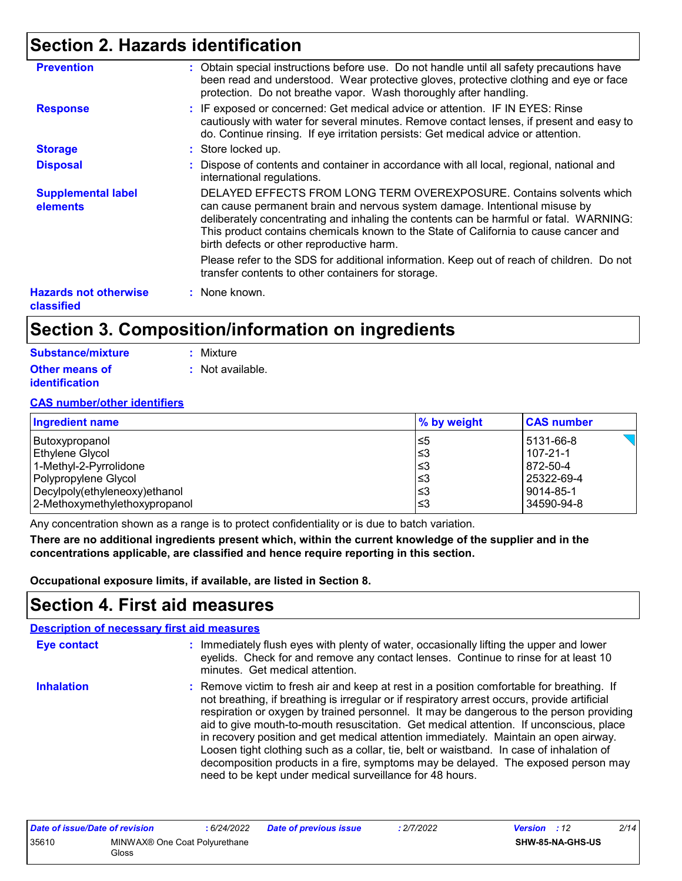# **Section 2. Hazards identification**

| <b>Prevention</b>                          | : Obtain special instructions before use. Do not handle until all safety precautions have<br>been read and understood. Wear protective gloves, protective clothing and eye or face<br>protection. Do not breathe vapor. Wash thoroughly after handling.                                                                                                                           |
|--------------------------------------------|-----------------------------------------------------------------------------------------------------------------------------------------------------------------------------------------------------------------------------------------------------------------------------------------------------------------------------------------------------------------------------------|
| <b>Response</b>                            | : IF exposed or concerned: Get medical advice or attention. IF IN EYES: Rinse<br>cautiously with water for several minutes. Remove contact lenses, if present and easy to<br>do. Continue rinsing. If eye irritation persists: Get medical advice or attention.                                                                                                                   |
| <b>Storage</b>                             | : Store locked up.                                                                                                                                                                                                                                                                                                                                                                |
| <b>Disposal</b>                            | : Dispose of contents and container in accordance with all local, regional, national and<br>international regulations.                                                                                                                                                                                                                                                            |
| <b>Supplemental label</b><br>elements      | DELAYED EFFECTS FROM LONG TERM OVEREXPOSURE. Contains solvents which<br>can cause permanent brain and nervous system damage. Intentional misuse by<br>deliberately concentrating and inhaling the contents can be harmful or fatal. WARNING:<br>This product contains chemicals known to the State of California to cause cancer and<br>birth defects or other reproductive harm. |
|                                            | Please refer to the SDS for additional information. Keep out of reach of children. Do not<br>transfer contents to other containers for storage.                                                                                                                                                                                                                                   |
| <b>Hazards not otherwise</b><br>classified | : None known.                                                                                                                                                                                                                                                                                                                                                                     |

# **Section 3. Composition/information on ingredients**

| Substance/mixture     | : Mixture        |
|-----------------------|------------------|
| <b>Other means of</b> | : Not available. |
| <b>identification</b> |                  |

#### **CAS number/other identifiers**

| Ingredient name               | % by weight | <b>CAS number</b> |
|-------------------------------|-------------|-------------------|
| Butoxypropanol                | l≤5         | 5131-66-8         |
| Ethylene Glycol               | l≤3         | 107-21-1          |
| 1-Methyl-2-Pyrrolidone        | l≤3         | 872-50-4          |
| Polypropylene Glycol          | l≤3         | 25322-69-4        |
| Decylpoly(ethyleneoxy)ethanol | l≤3         | 9014-85-1         |
| 2-Methoxymethylethoxypropanol | l≤3         | 34590-94-8        |

Any concentration shown as a range is to protect confidentiality or is due to batch variation.

**There are no additional ingredients present which, within the current knowledge of the supplier and in the concentrations applicable, are classified and hence require reporting in this section.**

**Occupational exposure limits, if available, are listed in Section 8.**

### **Section 4. First aid measures**

|                   | <b>Description of necessary first aid measures</b>                                                                                                                                                                                                                                                                                                                                                                                                                                                                                                                                                                                                                                                                  |
|-------------------|---------------------------------------------------------------------------------------------------------------------------------------------------------------------------------------------------------------------------------------------------------------------------------------------------------------------------------------------------------------------------------------------------------------------------------------------------------------------------------------------------------------------------------------------------------------------------------------------------------------------------------------------------------------------------------------------------------------------|
| Eye contact       | : Immediately flush eyes with plenty of water, occasionally lifting the upper and lower<br>eyelids. Check for and remove any contact lenses. Continue to rinse for at least 10<br>minutes. Get medical attention.                                                                                                                                                                                                                                                                                                                                                                                                                                                                                                   |
| <b>Inhalation</b> | : Remove victim to fresh air and keep at rest in a position comfortable for breathing. If<br>not breathing, if breathing is irregular or if respiratory arrest occurs, provide artificial<br>respiration or oxygen by trained personnel. It may be dangerous to the person providing<br>aid to give mouth-to-mouth resuscitation. Get medical attention. If unconscious, place<br>in recovery position and get medical attention immediately. Maintain an open airway.<br>Loosen tight clothing such as a collar, tie, belt or waistband. In case of inhalation of<br>decomposition products in a fire, symptoms may be delayed. The exposed person may<br>need to be kept under medical surveillance for 48 hours. |

| Date of issue/Date of revision |                                                    | : 6/24/2022 | <b>Date of previous issue</b> | : 2/7/2022 | <b>Version</b> : 12     | 2/14 |
|--------------------------------|----------------------------------------------------|-------------|-------------------------------|------------|-------------------------|------|
| 35610                          | MINWAX <sup>®</sup> One Coat Polyurethane<br>Gloss |             |                               |            | <b>SHW-85-NA-GHS-US</b> |      |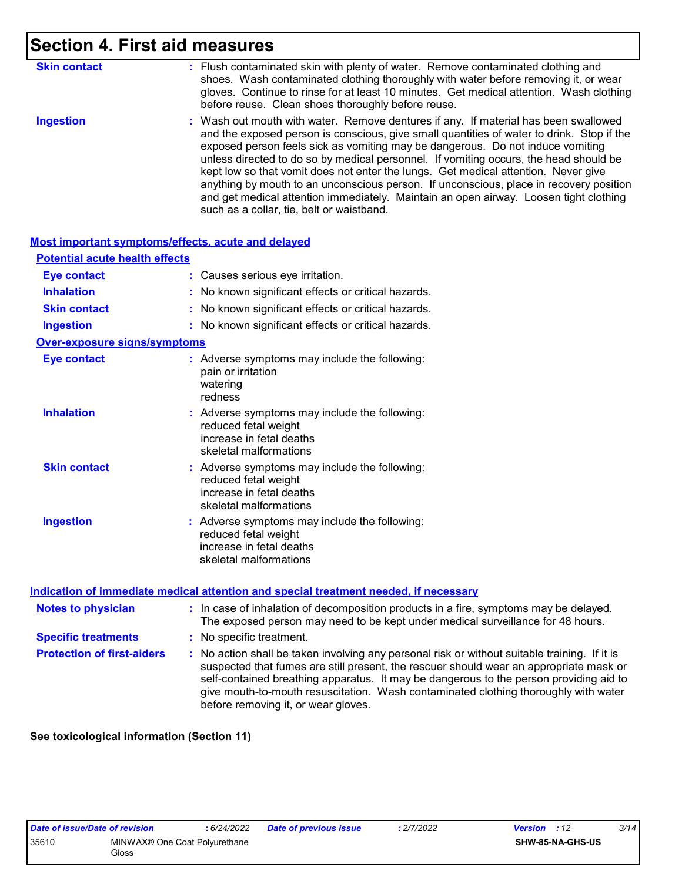# **Section 4. First aid measures**

| <b>Skin contact</b> | : Flush contaminated skin with plenty of water. Remove contaminated clothing and<br>shoes. Wash contaminated clothing thoroughly with water before removing it, or wear<br>gloves. Continue to rinse for at least 10 minutes. Get medical attention. Wash clothing<br>before reuse. Clean shoes thoroughly before reuse.                                                                                                                                                                                                                                                                                                                                                          |
|---------------------|-----------------------------------------------------------------------------------------------------------------------------------------------------------------------------------------------------------------------------------------------------------------------------------------------------------------------------------------------------------------------------------------------------------------------------------------------------------------------------------------------------------------------------------------------------------------------------------------------------------------------------------------------------------------------------------|
| <b>Ingestion</b>    | : Wash out mouth with water. Remove dentures if any. If material has been swallowed<br>and the exposed person is conscious, give small quantities of water to drink. Stop if the<br>exposed person feels sick as vomiting may be dangerous. Do not induce vomiting<br>unless directed to do so by medical personnel. If vomiting occurs, the head should be<br>kept low so that vomit does not enter the lungs. Get medical attention. Never give<br>anything by mouth to an unconscious person. If unconscious, place in recovery position<br>and get medical attention immediately. Maintain an open airway. Loosen tight clothing<br>such as a collar, tie, belt or waistband. |

| <b>Most important symptoms/effects, acute and delayed</b> |                                                                                                                             |
|-----------------------------------------------------------|-----------------------------------------------------------------------------------------------------------------------------|
| <b>Potential acute health effects</b>                     |                                                                                                                             |
| <b>Eye contact</b>                                        | Causes serious eye irritation.                                                                                              |
| <b>Inhalation</b>                                         | No known significant effects or critical hazards.                                                                           |
| <b>Skin contact</b>                                       | No known significant effects or critical hazards.                                                                           |
| <b>Ingestion</b>                                          | No known significant effects or critical hazards.                                                                           |
| <b>Over-exposure signs/symptoms</b>                       |                                                                                                                             |
| <b>Eye contact</b>                                        | : Adverse symptoms may include the following:<br>pain or irritation<br>watering<br>redness                                  |
| <b>Inhalation</b>                                         | : Adverse symptoms may include the following:<br>reduced fetal weight<br>increase in fetal deaths<br>skeletal malformations |
| <b>Skin contact</b>                                       | : Adverse symptoms may include the following:<br>reduced fetal weight<br>increase in fetal deaths<br>skeletal malformations |
| <b>Ingestion</b>                                          | : Adverse symptoms may include the following:<br>reduced fetal weight<br>increase in fetal deaths<br>skeletal malformations |

#### **Indication of immediate medical attention and special treatment needed, if necessary**

| <b>Notes to physician</b>         | : In case of inhalation of decomposition products in a fire, symptoms may be delayed.<br>The exposed person may need to be kept under medical surveillance for 48 hours.                                                                                                                                                                                                                                        |
|-----------------------------------|-----------------------------------------------------------------------------------------------------------------------------------------------------------------------------------------------------------------------------------------------------------------------------------------------------------------------------------------------------------------------------------------------------------------|
| <b>Specific treatments</b>        | : No specific treatment.                                                                                                                                                                                                                                                                                                                                                                                        |
| <b>Protection of first-aiders</b> | : No action shall be taken involving any personal risk or without suitable training. If it is<br>suspected that fumes are still present, the rescuer should wear an appropriate mask or<br>self-contained breathing apparatus. It may be dangerous to the person providing aid to<br>give mouth-to-mouth resuscitation. Wash contaminated clothing thoroughly with water<br>before removing it, or wear gloves. |

**See toxicological information (Section 11)**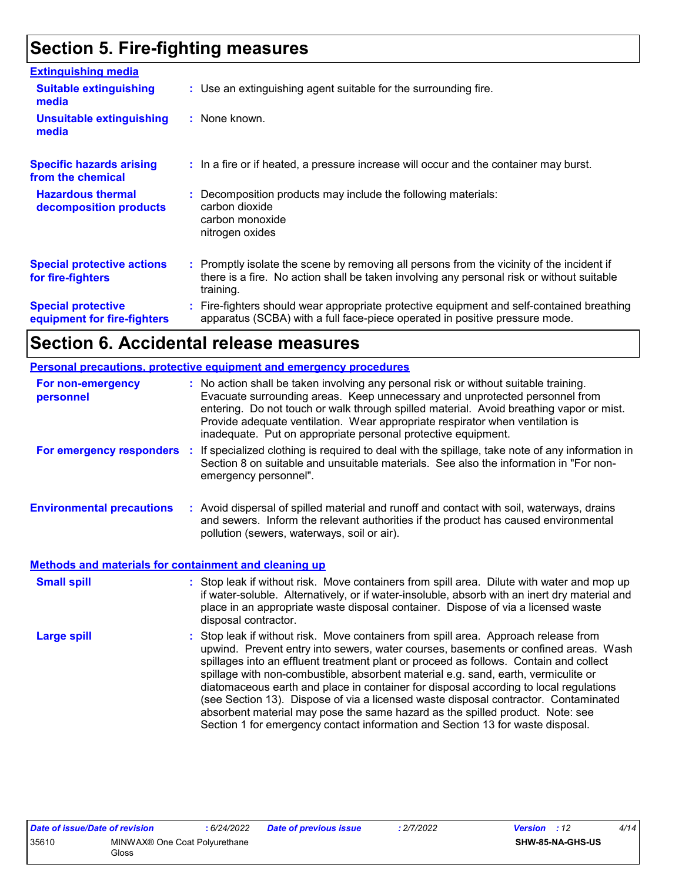# **Section 5. Fire-fighting measures**

| <b>Extinguishing media</b>                               |                                                                                                                                                                                                     |
|----------------------------------------------------------|-----------------------------------------------------------------------------------------------------------------------------------------------------------------------------------------------------|
| <b>Suitable extinguishing</b><br>media                   | : Use an extinguishing agent suitable for the surrounding fire.                                                                                                                                     |
| <b>Unsuitable extinguishing</b><br>media                 | : None known.                                                                                                                                                                                       |
| <b>Specific hazards arising</b><br>from the chemical     | : In a fire or if heated, a pressure increase will occur and the container may burst.                                                                                                               |
| <b>Hazardous thermal</b><br>decomposition products       | : Decomposition products may include the following materials:<br>carbon dioxide<br>carbon monoxide<br>nitrogen oxides                                                                               |
| <b>Special protective actions</b><br>for fire-fighters   | : Promptly isolate the scene by removing all persons from the vicinity of the incident if<br>there is a fire. No action shall be taken involving any personal risk or without suitable<br>training. |
| <b>Special protective</b><br>equipment for fire-fighters | Fire-fighters should wear appropriate protective equipment and self-contained breathing<br>apparatus (SCBA) with a full face-piece operated in positive pressure mode.                              |

# **Section 6. Accidental release measures**

|                                                              | Personal precautions, protective equipment and emergency procedures                                                                                                                                                                                                                                                                                                                                                                                                                                                                                                                                                                                                                                          |  |
|--------------------------------------------------------------|--------------------------------------------------------------------------------------------------------------------------------------------------------------------------------------------------------------------------------------------------------------------------------------------------------------------------------------------------------------------------------------------------------------------------------------------------------------------------------------------------------------------------------------------------------------------------------------------------------------------------------------------------------------------------------------------------------------|--|
| For non-emergency<br>personnel                               | : No action shall be taken involving any personal risk or without suitable training.<br>Evacuate surrounding areas. Keep unnecessary and unprotected personnel from<br>entering. Do not touch or walk through spilled material. Avoid breathing vapor or mist.<br>Provide adequate ventilation. Wear appropriate respirator when ventilation is<br>inadequate. Put on appropriate personal protective equipment.                                                                                                                                                                                                                                                                                             |  |
| For emergency responders                                     | : If specialized clothing is required to deal with the spillage, take note of any information in<br>Section 8 on suitable and unsuitable materials. See also the information in "For non-<br>emergency personnel".                                                                                                                                                                                                                                                                                                                                                                                                                                                                                           |  |
| <b>Environmental precautions</b>                             | : Avoid dispersal of spilled material and runoff and contact with soil, waterways, drains<br>and sewers. Inform the relevant authorities if the product has caused environmental<br>pollution (sewers, waterways, soil or air).                                                                                                                                                                                                                                                                                                                                                                                                                                                                              |  |
| <b>Methods and materials for containment and cleaning up</b> |                                                                                                                                                                                                                                                                                                                                                                                                                                                                                                                                                                                                                                                                                                              |  |
| <b>Small spill</b>                                           | : Stop leak if without risk. Move containers from spill area. Dilute with water and mop up<br>if water-soluble. Alternatively, or if water-insoluble, absorb with an inert dry material and<br>place in an appropriate waste disposal container. Dispose of via a licensed waste<br>disposal contractor.                                                                                                                                                                                                                                                                                                                                                                                                     |  |
| <b>Large spill</b>                                           | : Stop leak if without risk. Move containers from spill area. Approach release from<br>upwind. Prevent entry into sewers, water courses, basements or confined areas. Wash<br>spillages into an effluent treatment plant or proceed as follows. Contain and collect<br>spillage with non-combustible, absorbent material e.g. sand, earth, vermiculite or<br>diatomaceous earth and place in container for disposal according to local regulations<br>(see Section 13). Dispose of via a licensed waste disposal contractor. Contaminated<br>absorbent material may pose the same hazard as the spilled product. Note: see<br>Section 1 for emergency contact information and Section 13 for waste disposal. |  |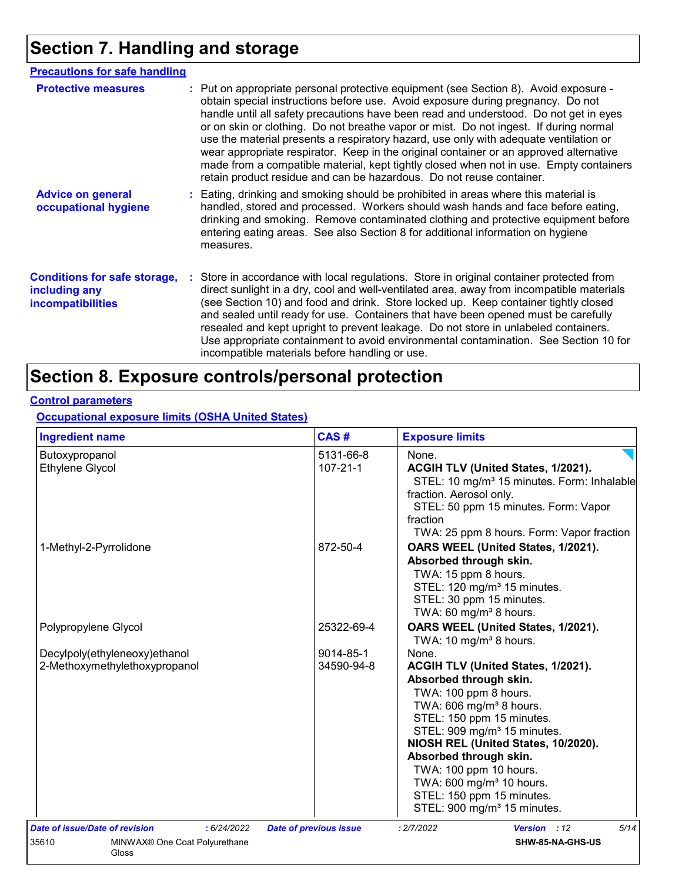# **Section 7. Handling and storage**

| <b>Precautions for safe handling</b>                                             |                                                                                                                                                                                                                                                                                                                                                                                                                                                                                                                                                                                                                                                                                                                |
|----------------------------------------------------------------------------------|----------------------------------------------------------------------------------------------------------------------------------------------------------------------------------------------------------------------------------------------------------------------------------------------------------------------------------------------------------------------------------------------------------------------------------------------------------------------------------------------------------------------------------------------------------------------------------------------------------------------------------------------------------------------------------------------------------------|
| <b>Protective measures</b>                                                       | : Put on appropriate personal protective equipment (see Section 8). Avoid exposure -<br>obtain special instructions before use. Avoid exposure during pregnancy. Do not<br>handle until all safety precautions have been read and understood. Do not get in eyes<br>or on skin or clothing. Do not breathe vapor or mist. Do not ingest. If during normal<br>use the material presents a respiratory hazard, use only with adequate ventilation or<br>wear appropriate respirator. Keep in the original container or an approved alternative<br>made from a compatible material, kept tightly closed when not in use. Empty containers<br>retain product residue and can be hazardous. Do not reuse container. |
| <b>Advice on general</b><br>occupational hygiene                                 | : Eating, drinking and smoking should be prohibited in areas where this material is<br>handled, stored and processed. Workers should wash hands and face before eating,<br>drinking and smoking. Remove contaminated clothing and protective equipment before<br>entering eating areas. See also Section 8 for additional information on hygiene<br>measures.                                                                                                                                                                                                                                                                                                                                                  |
| <b>Conditions for safe storage,</b><br>including any<br><i>incompatibilities</i> | : Store in accordance with local regulations. Store in original container protected from<br>direct sunlight in a dry, cool and well-ventilated area, away from incompatible materials<br>(see Section 10) and food and drink. Store locked up. Keep container tightly closed<br>and sealed until ready for use. Containers that have been opened must be carefully<br>resealed and kept upright to prevent leakage. Do not store in unlabeled containers.<br>Use appropriate containment to avoid environmental contamination. See Section 10 for<br>incompatible materials before handling or use.                                                                                                            |

# **Section 8. Exposure controls/personal protection**

### **Control parameters**

**Occupational exposure limits (OSHA United States)**

| <b>Ingredient name</b>                                                                           | CAS#                          | <b>Exposure limits</b>                                                                                                                                                                                                                                                                                                                                                                                                   |
|--------------------------------------------------------------------------------------------------|-------------------------------|--------------------------------------------------------------------------------------------------------------------------------------------------------------------------------------------------------------------------------------------------------------------------------------------------------------------------------------------------------------------------------------------------------------------------|
| Butoxypropanol                                                                                   | 5131-66-8                     | None.                                                                                                                                                                                                                                                                                                                                                                                                                    |
| <b>Ethylene Glycol</b>                                                                           | $107 - 21 - 1$                | ACGIH TLV (United States, 1/2021).<br>STEL: 10 mg/m <sup>3</sup> 15 minutes. Form: Inhalable<br>fraction. Aerosol only.<br>STEL: 50 ppm 15 minutes. Form: Vapor<br>fraction<br>TWA: 25 ppm 8 hours. Form: Vapor fraction                                                                                                                                                                                                 |
| 1-Methyl-2-Pyrrolidone                                                                           | 872-50-4                      | OARS WEEL (United States, 1/2021).<br>Absorbed through skin.<br>TWA: 15 ppm 8 hours.<br>STEL: 120 mg/m <sup>3</sup> 15 minutes.<br>STEL: 30 ppm 15 minutes.<br>TWA: 60 mg/m <sup>3</sup> 8 hours.                                                                                                                                                                                                                        |
| Polypropylene Glycol                                                                             | 25322-69-4                    | OARS WEEL (United States, 1/2021).<br>TWA: 10 mg/m <sup>3</sup> 8 hours.                                                                                                                                                                                                                                                                                                                                                 |
| Decylpoly(ethyleneoxy)ethanol<br>2-Methoxymethylethoxypropanol                                   | 9014-85-1<br>34590-94-8       | None.<br>ACGIH TLV (United States, 1/2021).<br>Absorbed through skin.<br>TWA: 100 ppm 8 hours.<br>TWA: 606 mg/m <sup>3</sup> 8 hours.<br>STEL: 150 ppm 15 minutes.<br>STEL: 909 mg/m <sup>3</sup> 15 minutes.<br>NIOSH REL (United States, 10/2020).<br>Absorbed through skin.<br>TWA: 100 ppm 10 hours.<br>TWA: 600 mg/m <sup>3</sup> 10 hours.<br>STEL: 150 ppm 15 minutes.<br>STEL: 900 mg/m <sup>3</sup> 15 minutes. |
| Date of issue/Date of revision<br>: 6/24/2022<br>35610<br>MINWAX® One Coat Polyurethane<br>Gloss | <b>Date of previous issue</b> | 5/14<br>: 2/7/2022<br><b>Version</b> : 12<br>SHW-85-NA-GHS-US                                                                                                                                                                                                                                                                                                                                                            |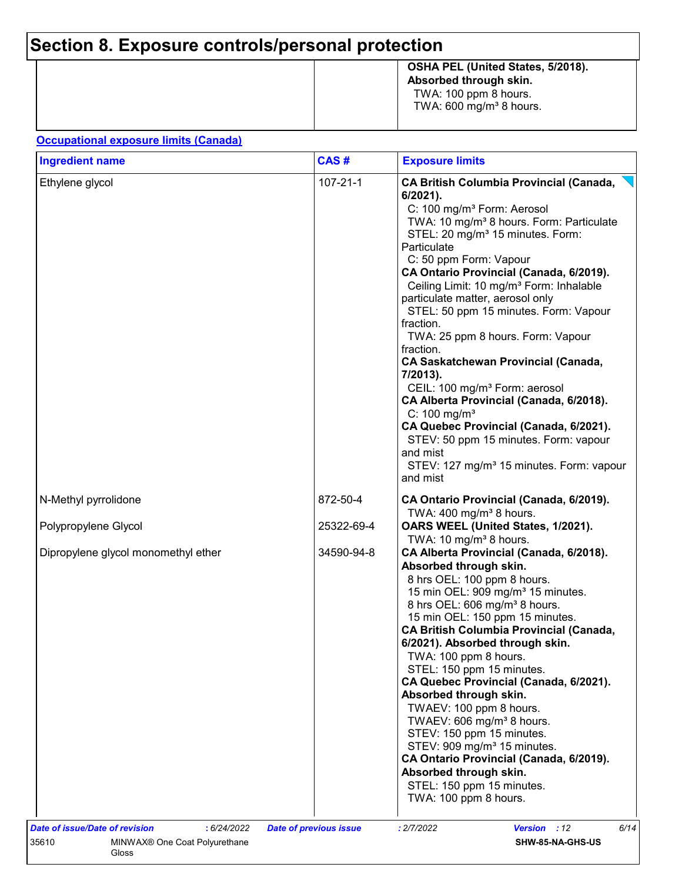# **Section 8. Exposure controls/personal protection**

|  | OSHA PEL (United States, 5/2018).<br>Absorbed through skin.<br>TWA: 100 ppm 8 hours.<br>TWA: $600 \text{ mg/m}^3$ 8 hours. |
|--|----------------------------------------------------------------------------------------------------------------------------|
|--|----------------------------------------------------------------------------------------------------------------------------|

#### **Occupational exposure limits (Canada)**

| <b>Ingredient name</b>              | CAS#           | <b>Exposure limits</b><br><b>CA British Columbia Provincial (Canada,</b><br>$6/2021$ ).<br>C: 100 mg/m <sup>3</sup> Form: Aerosol<br>TWA: 10 mg/m <sup>3</sup> 8 hours. Form: Particulate<br>STEL: 20 mg/m <sup>3</sup> 15 minutes. Form:<br>Particulate<br>C: 50 ppm Form: Vapour<br>CA Ontario Provincial (Canada, 6/2019).<br>Ceiling Limit: 10 mg/m <sup>3</sup> Form: Inhalable<br>particulate matter, aerosol only<br>STEL: 50 ppm 15 minutes. Form: Vapour<br>fraction.<br>TWA: 25 ppm 8 hours. Form: Vapour<br>fraction.<br><b>CA Saskatchewan Provincial (Canada,</b><br>7/2013).<br>CEIL: 100 mg/m <sup>3</sup> Form: aerosol<br>CA Alberta Provincial (Canada, 6/2018).<br>C: $100 \text{ mg/m}^3$<br>CA Quebec Provincial (Canada, 6/2021).<br>STEV: 50 ppm 15 minutes. Form: vapour<br>and mist<br>STEV: 127 mg/m <sup>3</sup> 15 minutes. Form: vapour<br>and mist |  |  |
|-------------------------------------|----------------|----------------------------------------------------------------------------------------------------------------------------------------------------------------------------------------------------------------------------------------------------------------------------------------------------------------------------------------------------------------------------------------------------------------------------------------------------------------------------------------------------------------------------------------------------------------------------------------------------------------------------------------------------------------------------------------------------------------------------------------------------------------------------------------------------------------------------------------------------------------------------------|--|--|
| Ethylene glycol                     | $107 - 21 - 1$ |                                                                                                                                                                                                                                                                                                                                                                                                                                                                                                                                                                                                                                                                                                                                                                                                                                                                                  |  |  |
| N-Methyl pyrrolidone                | 872-50-4       | CA Ontario Provincial (Canada, 6/2019).<br>TWA: $400 \text{ mg/m}^3$ 8 hours.                                                                                                                                                                                                                                                                                                                                                                                                                                                                                                                                                                                                                                                                                                                                                                                                    |  |  |
| Polypropylene Glycol                | 25322-69-4     | OARS WEEL (United States, 1/2021).<br>TWA: 10 mg/m <sup>3</sup> 8 hours.                                                                                                                                                                                                                                                                                                                                                                                                                                                                                                                                                                                                                                                                                                                                                                                                         |  |  |
| Dipropylene glycol monomethyl ether | 34590-94-8     | CA Alberta Provincial (Canada, 6/2018).<br>Absorbed through skin.<br>8 hrs OEL: 100 ppm 8 hours.<br>15 min OEL: 909 mg/m <sup>3</sup> 15 minutes.<br>8 hrs OEL: 606 mg/m <sup>3</sup> 8 hours.<br>15 min OEL: 150 ppm 15 minutes.<br><b>CA British Columbia Provincial (Canada,</b><br>6/2021). Absorbed through skin.<br>TWA: 100 ppm 8 hours.<br>STEL: 150 ppm 15 minutes.<br>CA Quebec Provincial (Canada, 6/2021).<br>Absorbed through skin.<br>TWAEV: 100 ppm 8 hours.<br>TWAEV: 606 mg/m <sup>3</sup> 8 hours.<br>STEV: 150 ppm 15 minutes.<br>STEV: 909 mg/m <sup>3</sup> 15 minutes.<br>CA Ontario Provincial (Canada, 6/2019).<br>Absorbed through skin.<br>STEL: 150 ppm 15 minutes.<br>TWA: 100 ppm 8 hours.                                                                                                                                                          |  |  |
|                                     |                |                                                                                                                                                                                                                                                                                                                                                                                                                                                                                                                                                                                                                                                                                                                                                                                                                                                                                  |  |  |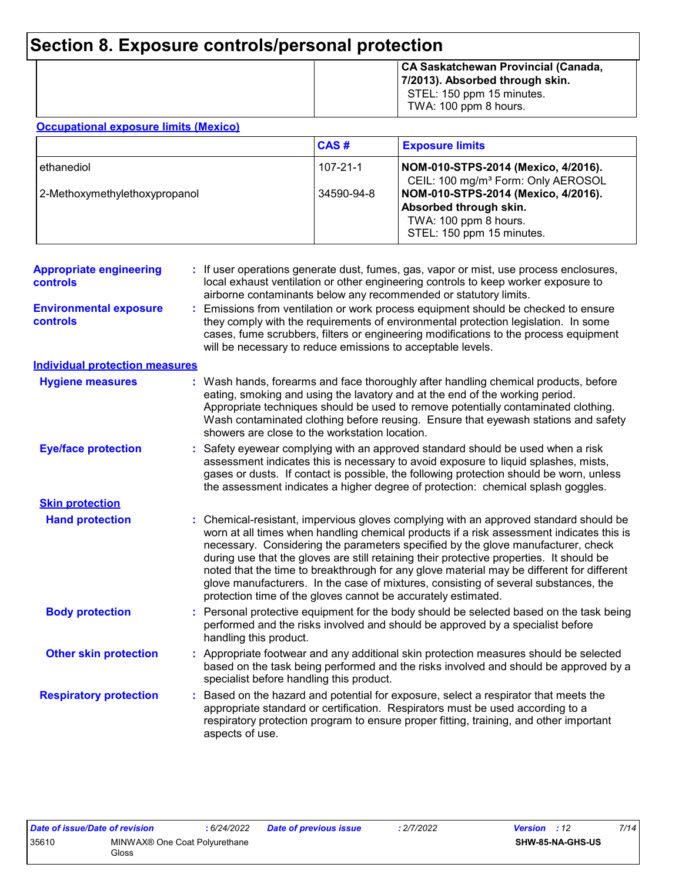# **Section 8. Exposure controls/personal protection**

|  | CA Saskatchewan Provincial (Canada,<br>7/2013). Absorbed through skin.<br>STEL: 150 ppm 15 minutes.<br>TWA: 100 ppm 8 hours. |
|--|------------------------------------------------------------------------------------------------------------------------------|
|--|------------------------------------------------------------------------------------------------------------------------------|

#### **Occupational exposure limits (Mexico)**

|                               | <b>CAS#</b> | <b>Exposure limits</b>                                                                                              |
|-------------------------------|-------------|---------------------------------------------------------------------------------------------------------------------|
| ethanediol                    | 107-21-1    | NOM-010-STPS-2014 (Mexico, 4/2016).<br>CEIL: 100 mg/m <sup>3</sup> Form: Only AEROSOL                               |
| 2-Methoxymethylethoxypropanol | 34590-94-8  | NOM-010-STPS-2014 (Mexico, 4/2016).<br>Absorbed through skin.<br>TWA: 100 ppm 8 hours.<br>STEL: 150 ppm 15 minutes. |

| <b>Appropriate engineering</b><br>controls | : If user operations generate dust, fumes, gas, vapor or mist, use process enclosures,<br>local exhaust ventilation or other engineering controls to keep worker exposure to<br>airborne contaminants below any recommended or statutory limits.                                                                                                                                                                                                                                                                                                                                                                       |
|--------------------------------------------|------------------------------------------------------------------------------------------------------------------------------------------------------------------------------------------------------------------------------------------------------------------------------------------------------------------------------------------------------------------------------------------------------------------------------------------------------------------------------------------------------------------------------------------------------------------------------------------------------------------------|
| <b>Environmental exposure</b><br>controls  | Emissions from ventilation or work process equipment should be checked to ensure<br>they comply with the requirements of environmental protection legislation. In some<br>cases, fume scrubbers, filters or engineering modifications to the process equipment<br>will be necessary to reduce emissions to acceptable levels.                                                                                                                                                                                                                                                                                          |
| <b>Individual protection measures</b>      |                                                                                                                                                                                                                                                                                                                                                                                                                                                                                                                                                                                                                        |
| <b>Hygiene measures</b>                    | : Wash hands, forearms and face thoroughly after handling chemical products, before<br>eating, smoking and using the lavatory and at the end of the working period.<br>Appropriate techniques should be used to remove potentially contaminated clothing.<br>Wash contaminated clothing before reusing. Ensure that eyewash stations and safety<br>showers are close to the workstation location.                                                                                                                                                                                                                      |
| <b>Eye/face protection</b>                 | Safety eyewear complying with an approved standard should be used when a risk<br>assessment indicates this is necessary to avoid exposure to liquid splashes, mists,<br>gases or dusts. If contact is possible, the following protection should be worn, unless<br>the assessment indicates a higher degree of protection: chemical splash goggles.                                                                                                                                                                                                                                                                    |
| <b>Skin protection</b>                     |                                                                                                                                                                                                                                                                                                                                                                                                                                                                                                                                                                                                                        |
| <b>Hand protection</b>                     | : Chemical-resistant, impervious gloves complying with an approved standard should be<br>worn at all times when handling chemical products if a risk assessment indicates this is<br>necessary. Considering the parameters specified by the glove manufacturer, check<br>during use that the gloves are still retaining their protective properties. It should be<br>noted that the time to breakthrough for any glove material may be different for different<br>glove manufacturers. In the case of mixtures, consisting of several substances, the<br>protection time of the gloves cannot be accurately estimated. |
| <b>Body protection</b>                     | : Personal protective equipment for the body should be selected based on the task being<br>performed and the risks involved and should be approved by a specialist before<br>handling this product.                                                                                                                                                                                                                                                                                                                                                                                                                    |
| <b>Other skin protection</b>               | Appropriate footwear and any additional skin protection measures should be selected<br>based on the task being performed and the risks involved and should be approved by a<br>specialist before handling this product.                                                                                                                                                                                                                                                                                                                                                                                                |
| <b>Respiratory protection</b>              | Based on the hazard and potential for exposure, select a respirator that meets the<br>appropriate standard or certification. Respirators must be used according to a<br>respiratory protection program to ensure proper fitting, training, and other important<br>aspects of use.                                                                                                                                                                                                                                                                                                                                      |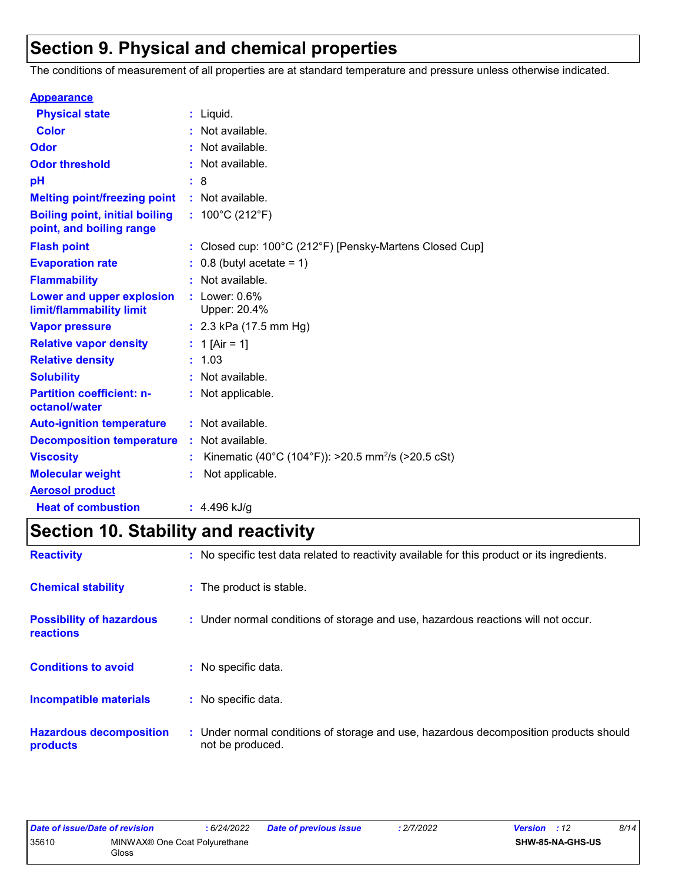# **Section 9. Physical and chemical properties**

The conditions of measurement of all properties are at standard temperature and pressure unless otherwise indicated.

| <b>Appearance</b>                                                 |    |                                                                |
|-------------------------------------------------------------------|----|----------------------------------------------------------------|
| <b>Physical state</b>                                             | t. | Liquid.                                                        |
| <b>Color</b>                                                      |    | Not available.                                                 |
| Odor                                                              |    | Not available.                                                 |
| <b>Odor threshold</b>                                             |    | Not available.                                                 |
| pH                                                                |    | 8                                                              |
| <b>Melting point/freezing point</b>                               |    | : Not available.                                               |
| <b>Boiling point, initial boiling</b><br>point, and boiling range |    | : $100^{\circ}$ C (212 $^{\circ}$ F)                           |
| <b>Flash point</b>                                                |    | Closed cup: 100°C (212°F) [Pensky-Martens Closed Cup]          |
| <b>Evaporation rate</b>                                           |    | $0.8$ (butyl acetate = 1)                                      |
| <b>Flammability</b>                                               |    | Not available.                                                 |
| Lower and upper explosion<br>limit/flammability limit             |    | Lower: $0.6\%$<br>Upper: 20.4%                                 |
| <b>Vapor pressure</b>                                             |    | : $2.3$ kPa (17.5 mm Hg)                                       |
| <b>Relative vapor density</b>                                     |    | 1 [Air = 1]                                                    |
| <b>Relative density</b>                                           |    | 1.03                                                           |
| <b>Solubility</b>                                                 |    | Not available.                                                 |
| <b>Partition coefficient: n-</b><br>octanol/water                 |    | : Not applicable.                                              |
| <b>Auto-ignition temperature</b>                                  |    | : Not available.                                               |
| <b>Decomposition temperature</b>                                  |    | Not available.                                                 |
| <b>Viscosity</b>                                                  |    | Kinematic (40°C (104°F)): >20.5 mm <sup>2</sup> /s (>20.5 cSt) |
| <b>Molecular weight</b>                                           |    | Not applicable.                                                |
| <b>Aerosol product</b>                                            |    |                                                                |
| <b>Heat of combustion</b>                                         |    | $: 4.496$ kJ/g                                                 |

# **Section 10. Stability and reactivity**

| <b>Reactivity</b>                            | : No specific test data related to reactivity available for this product or its ingredients.              |  |
|----------------------------------------------|-----------------------------------------------------------------------------------------------------------|--|
| <b>Chemical stability</b>                    | : The product is stable.                                                                                  |  |
| <b>Possibility of hazardous</b><br>reactions | : Under normal conditions of storage and use, hazardous reactions will not occur.                         |  |
| <b>Conditions to avoid</b>                   | : No specific data.                                                                                       |  |
| Incompatible materials                       | : No specific data.                                                                                       |  |
| <b>Hazardous decomposition</b><br>products   | : Under normal conditions of storage and use, hazardous decomposition products should<br>not be produced. |  |

| Date of issue/Date of revision |                                                    | 6/24/2022 | <b>Date of previous issue</b> | : 2/7/2022 | <b>Version</b> : 12     | 8/14 |
|--------------------------------|----------------------------------------------------|-----------|-------------------------------|------------|-------------------------|------|
| 35610                          | MINWAX <sup>®</sup> One Coat Polyurethane<br>Gloss |           |                               |            | <b>SHW-85-NA-GHS-US</b> |      |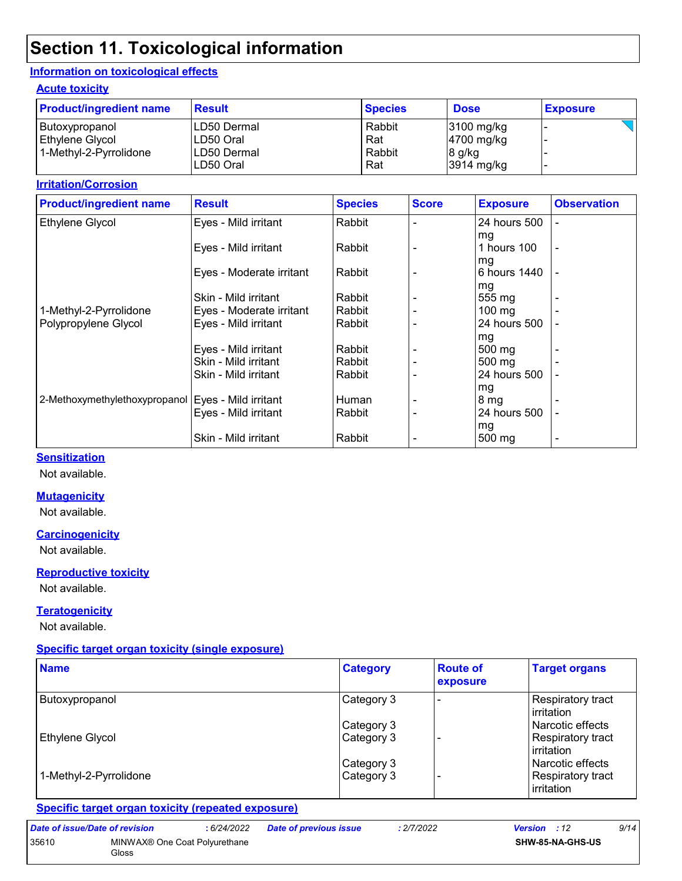# **Section 11. Toxicological information**

#### **Information on toxicological effects**

#### **Acute toxicity**

| <b>Product/ingredient name</b> | <b>Result</b>            | <b>Species</b> | <b>Dose</b>          | <b>Exposure</b> |
|--------------------------------|--------------------------|----------------|----------------------|-----------------|
| Butoxypropanol                 | LD50 Dermal              | Rabbit         | 3100 mg/kg           |                 |
| Ethylene Glycol                | LD50 Oral                | Rat            | 4700 mg/kg           |                 |
| 1-Methyl-2-Pyrrolidone         | LD50 Dermal<br>LD50 Oral | Rabbit<br>Rat  | 8 g/kg<br>3914 mg/kg |                 |

#### **Irritation/Corrosion**

| <b>Product/ingredient name</b> | <b>Result</b>            | <b>Species</b> | <b>Score</b> | <b>Exposure</b>     | <b>Observation</b> |
|--------------------------------|--------------------------|----------------|--------------|---------------------|--------------------|
| Ethylene Glycol                | Eyes - Mild irritant     | Rabbit         |              | 24 hours 500        | ÷                  |
|                                |                          |                |              | mg                  |                    |
|                                | Eyes - Mild irritant     | Rabbit         |              | 1 hours 100         | $\blacksquare$     |
|                                |                          |                |              | mg                  |                    |
|                                | Eyes - Moderate irritant | Rabbit         |              | 6 hours 1440        |                    |
|                                |                          |                |              | mg                  |                    |
|                                | Skin - Mild irritant     | Rabbit         |              | 555 mg              | $\blacksquare$     |
| 1-Methyl-2-Pyrrolidone         | Eyes - Moderate irritant | Rabbit         |              | $100 \text{ mg}$    |                    |
| Polypropylene Glycol           | Eyes - Mild irritant     | Rabbit         |              | 24 hours 500        |                    |
|                                |                          |                |              | mg                  |                    |
|                                | Eyes - Mild irritant     | Rabbit         |              | $500 \text{ mg}$    |                    |
|                                | Skin - Mild irritant     | Rabbit         |              | $500 \text{ mg}$    |                    |
|                                | Skin - Mild irritant     | Rabbit         |              | 24 hours 500        |                    |
|                                |                          |                |              | mg                  |                    |
| 2-Methoxymethylethoxypropanol  | Eyes - Mild irritant     | Human          |              | 8 <sub>mg</sub>     |                    |
|                                | Eyes - Mild irritant     | Rabbit         |              | 24 hours 500        |                    |
|                                |                          |                |              | mg                  |                    |
|                                | Skin - Mild irritant     | Rabbit         |              | $500 \,\mathrm{mg}$ | $\blacksquare$     |

#### **Sensitization**

Not available.

#### **Mutagenicity**

Not available.

#### **Carcinogenicity**

Not available.

#### **Reproductive toxicity**

Not available.

#### **Teratogenicity**

Not available.

#### **Specific target organ toxicity (single exposure)**

| <b>Name</b>            | <b>Category</b> | <b>Route of</b><br>exposure | <b>Target organs</b>                     |
|------------------------|-----------------|-----------------------------|------------------------------------------|
| Butoxypropanol         | Category 3      |                             | <b>Respiratory tract</b><br>l irritation |
|                        | Category 3      |                             | l Narcotic effects                       |
| Ethylene Glycol        | Category 3      |                             | Respiratory tract<br>l irritation        |
|                        | Category 3      |                             | Narcotic effects                         |
| 1-Methyl-2-Pyrrolidone | Category 3      |                             | Respiratory tract<br><b>lirritation</b>  |

#### **Specific target organ toxicity (repeated exposure)**

| Date of issue/Date of revision |                                        | : 6/24/2022 | <b>Date of previous issue</b> | : 2/7/2022 | <b>Version</b> : 12     | 9/14 |
|--------------------------------|----------------------------------------|-------------|-------------------------------|------------|-------------------------|------|
| 35610                          | MINWAX® One Coat Polyurethane<br>Gloss |             |                               |            | <b>SHW-85-NA-GHS-US</b> |      |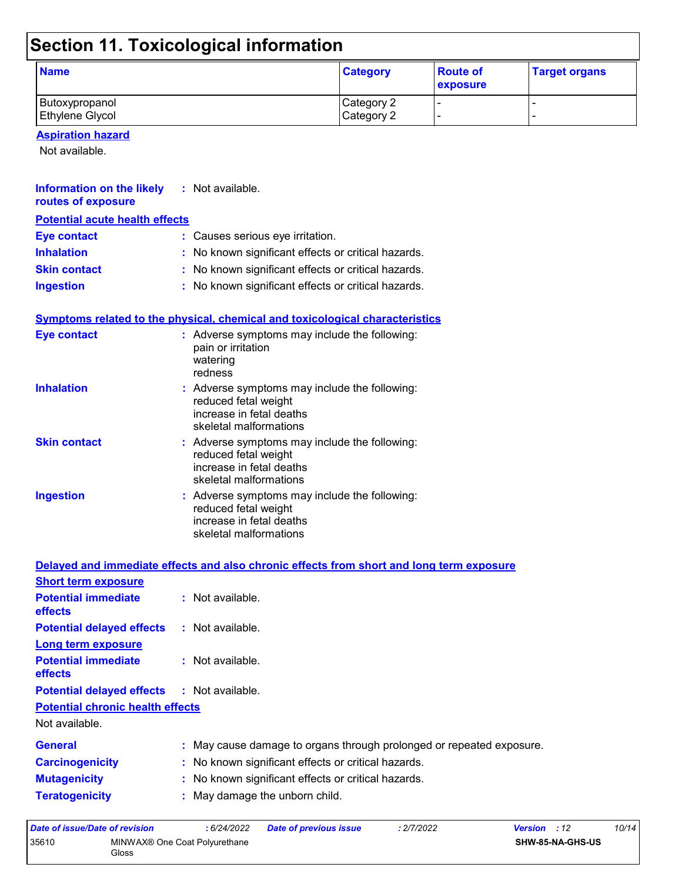# **Section 11. Toxicological information**

| <b>Name</b>            | <b>Category</b> | <b>Route of</b><br>exposure | <b>Target organs</b> |
|------------------------|-----------------|-----------------------------|----------------------|
| Butoxypropanol         | Category 2      |                             |                      |
| <b>Ethylene Glycol</b> | Category 2      |                             |                      |

#### **Aspiration hazard**

Not available.

| <b>Information on the likely</b> : Not available.<br>routes of exposure |                                                                                                                             |
|-------------------------------------------------------------------------|-----------------------------------------------------------------------------------------------------------------------------|
| <b>Potential acute health effects</b>                                   |                                                                                                                             |
| <b>Eye contact</b>                                                      | : Causes serious eye irritation.                                                                                            |
| <b>Inhalation</b>                                                       | : No known significant effects or critical hazards.                                                                         |
| <b>Skin contact</b>                                                     | : No known significant effects or critical hazards.                                                                         |
| <b>Ingestion</b>                                                        | : No known significant effects or critical hazards.                                                                         |
|                                                                         | <b>Symptoms related to the physical, chemical and toxicological characteristics</b>                                         |
| <b>Eye contact</b>                                                      | : Adverse symptoms may include the following:<br>pain or irritation<br>watering<br>redness                                  |
| <b>Inhalation</b>                                                       | : Adverse symptoms may include the following:<br>reduced fetal weight<br>increase in fetal deaths<br>skeletal malformations |
| <b>Skin contact</b>                                                     | : Adverse symptoms may include the following:<br>reduced fetal weight<br>increase in fetal deaths<br>skeletal malformations |
| <b>Ingestion</b>                                                        | : Adverse symptoms may include the following:<br>reduced fetal weight<br>increase in fetal deaths<br>skeletal malformations |

|                                                   | Delayed and immediate effects and also chronic effects from short and long term exposure |
|---------------------------------------------------|------------------------------------------------------------------------------------------|
| <b>Short term exposure</b>                        |                                                                                          |
| <b>Potential immediate</b><br><b>effects</b>      | : Not available.                                                                         |
| <b>Potential delayed effects</b>                  | : Not available.                                                                         |
| Long term exposure                                |                                                                                          |
| <b>Potential immediate</b><br><b>effects</b>      | : Not available.                                                                         |
| <b>Potential delayed effects : Not available.</b> |                                                                                          |
| <b>Potential chronic health effects</b>           |                                                                                          |
| Not available.                                    |                                                                                          |
| <b>General</b>                                    | : May cause damage to organs through prolonged or repeated exposure.                     |
| <b>Carcinogenicity</b>                            | : No known significant effects or critical hazards.                                      |
| <b>Mutagenicity</b>                               | : No known significant effects or critical hazards.                                      |
| <b>Teratogenicity</b>                             | : May damage the unborn child.                                                           |

| Date of issue/Date of revision |                                        | : 6/24/2022 | <b>Date of previous issue</b> | : 2/7/2022 | <b>Version</b> : 12 |                         | 10/14 |
|--------------------------------|----------------------------------------|-------------|-------------------------------|------------|---------------------|-------------------------|-------|
| 35610                          | MINWAX® One Coat Polyurethane<br>Gloss |             |                               |            |                     | <b>SHW-85-NA-GHS-US</b> |       |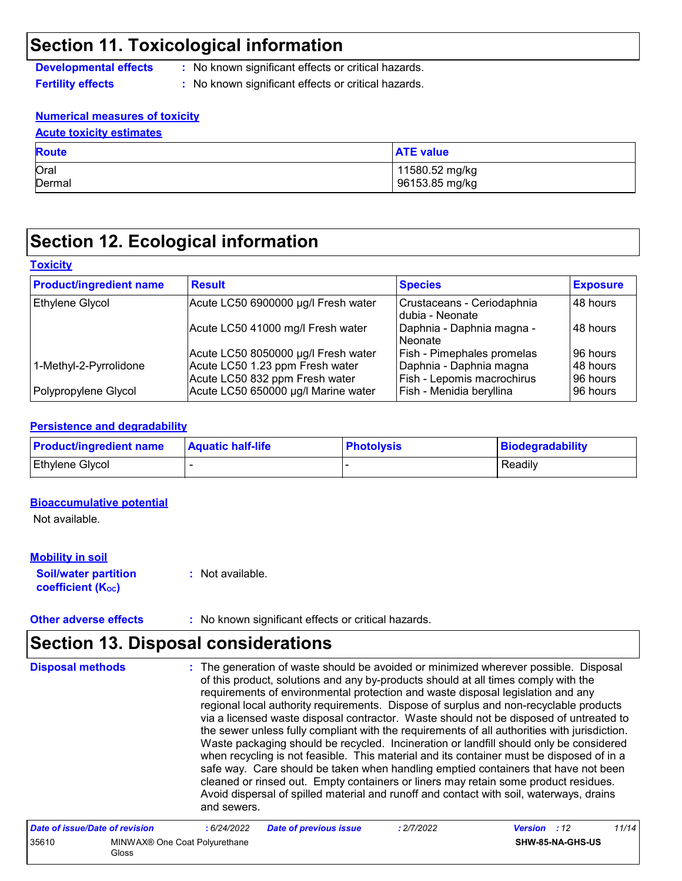### **Section 11. Toxicological information**

**Developmental effects :** No known significant effects or critical hazards.

- **Fertility effects :** No known significant effects or critical hazards.
- 

#### **Numerical measures of toxicity**

| <b>Acute toxicity estimates</b> |                  |  |  |  |
|---------------------------------|------------------|--|--|--|
| <b>Route</b>                    | <b>ATE value</b> |  |  |  |
| Oral                            | 11580.52 mg/kg   |  |  |  |
| Dermal                          | 96153.85 mg/kg   |  |  |  |

# **Section 12. Ecological information**

#### **Toxicity**

| <b>Product/ingredient name</b> | <b>Result</b>                       | <b>Species</b>                                 | <b>Exposure</b> |
|--------------------------------|-------------------------------------|------------------------------------------------|-----------------|
| Ethylene Glycol                | Acute LC50 6900000 µg/l Fresh water | Crustaceans - Ceriodaphnia<br>Idubia - Neonate | 48 hours        |
|                                | Acute LC50 41000 mg/l Fresh water   | Daphnia - Daphnia magna -<br>l Neonate         | l 48 hours      |
|                                | Acute LC50 8050000 µg/l Fresh water | Fish - Pimephales promelas                     | 96 hours        |
| 1-Methyl-2-Pyrrolidone         | Acute LC50 1.23 ppm Fresh water     | Daphnia - Daphnia magna                        | 48 hours        |
|                                | Acute LC50 832 ppm Fresh water      | Fish - Lepomis macrochirus                     | 96 hours        |
| Polypropylene Glycol           | Acute LC50 650000 µg/l Marine water | Fish - Menidia beryllina                       | 96 hours        |

#### **Persistence and degradability**

| <b>Product/ingredient name</b> | <b>Aquatic half-life</b> | <b>Photolysis</b> | Biodegradability |
|--------------------------------|--------------------------|-------------------|------------------|
| <b>Ethylene Glycol</b>         |                          |                   | Readily          |

#### **Bioaccumulative potential**

Not available.

#### **Mobility in soil**

**Soil/water partition coefficient (KOC)**

**:** Not available.

**Other adverse effects :** No known significant effects or critical hazards.

### **Section 13. Disposal considerations**

The generation of waste should be avoided or minimized wherever possible. Disposal of this product, solutions and any by-products should at all times comply with the requirements of environmental protection and waste disposal legislation and any regional local authority requirements. Dispose of surplus and non-recyclable products via a licensed waste disposal contractor. Waste should not be disposed of untreated to the sewer unless fully compliant with the requirements of all authorities with jurisdiction. Waste packaging should be recycled. Incineration or landfill should only be considered when recycling is not feasible. This material and its container must be disposed of in a safe way. Care should be taken when handling emptied containers that have not been cleaned or rinsed out. Empty containers or liners may retain some product residues. Avoid dispersal of spilled material and runoff and contact with soil, waterways, drains and sewers. **Disposal methods :**

| Date of issue/Date of revision |                                        | : 6/24/2022 | <b>Date of previous issue</b> | : 2/7/2022 | <b>Version</b> : 12 |                         | 11/14 |
|--------------------------------|----------------------------------------|-------------|-------------------------------|------------|---------------------|-------------------------|-------|
| 35610                          | MINWAX® One Coat Polyurethane<br>Gloss |             |                               |            |                     | <b>SHW-85-NA-GHS-US</b> |       |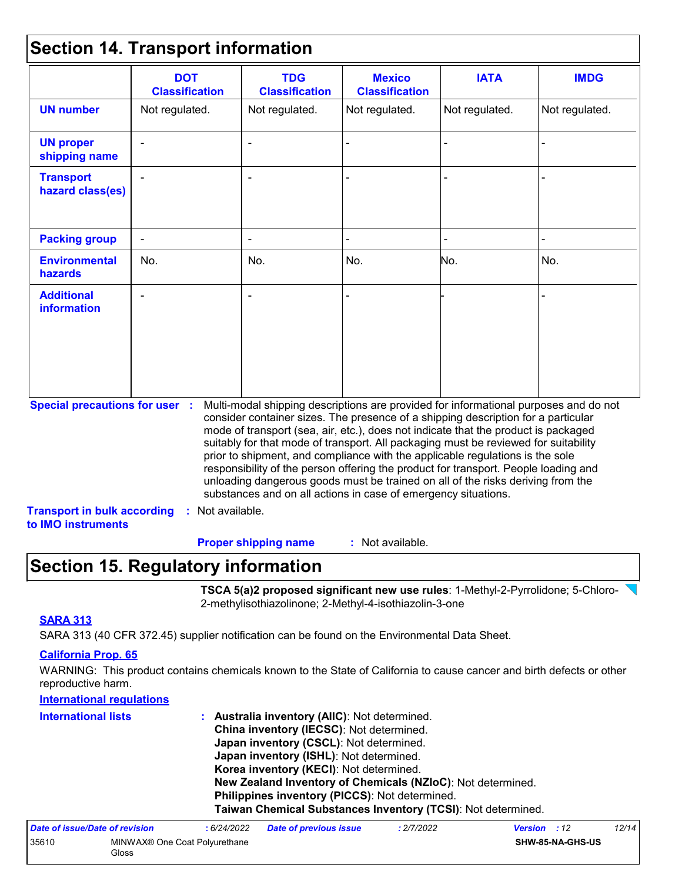### **Section 14. Transport information**

|                                                                             | <b>DOT</b><br><b>Classification</b> | <b>TDG</b><br><b>Classification</b>                                                                                                                                                                                                                                                                                                                                                                                                                                                                                                                                                                                                                                                 | <b>Mexico</b><br><b>Classification</b> | <b>IATA</b>    | <b>IMDG</b>    |
|-----------------------------------------------------------------------------|-------------------------------------|-------------------------------------------------------------------------------------------------------------------------------------------------------------------------------------------------------------------------------------------------------------------------------------------------------------------------------------------------------------------------------------------------------------------------------------------------------------------------------------------------------------------------------------------------------------------------------------------------------------------------------------------------------------------------------------|----------------------------------------|----------------|----------------|
| <b>UN number</b>                                                            | Not regulated.                      | Not regulated.                                                                                                                                                                                                                                                                                                                                                                                                                                                                                                                                                                                                                                                                      | Not regulated.                         | Not regulated. | Not regulated. |
| <b>UN proper</b><br>shipping name                                           |                                     |                                                                                                                                                                                                                                                                                                                                                                                                                                                                                                                                                                                                                                                                                     |                                        |                |                |
| <b>Transport</b><br>hazard class(es)                                        |                                     |                                                                                                                                                                                                                                                                                                                                                                                                                                                                                                                                                                                                                                                                                     |                                        |                |                |
| <b>Packing group</b>                                                        |                                     |                                                                                                                                                                                                                                                                                                                                                                                                                                                                                                                                                                                                                                                                                     |                                        |                |                |
| <b>Environmental</b><br>hazards                                             | No.                                 | No.                                                                                                                                                                                                                                                                                                                                                                                                                                                                                                                                                                                                                                                                                 | No.                                    | No.            | No.            |
| <b>Additional</b><br><b>information</b>                                     |                                     |                                                                                                                                                                                                                                                                                                                                                                                                                                                                                                                                                                                                                                                                                     |                                        |                |                |
| <b>Special precautions for user :</b><br><b>Transport in bulk according</b> | : Not available.                    | Multi-modal shipping descriptions are provided for informational purposes and do not<br>consider container sizes. The presence of a shipping description for a particular<br>mode of transport (sea, air, etc.), does not indicate that the product is packaged<br>suitably for that mode of transport. All packaging must be reviewed for suitability<br>prior to shipment, and compliance with the applicable regulations is the sole<br>responsibility of the person offering the product for transport. People loading and<br>unloading dangerous goods must be trained on all of the risks deriving from the<br>substances and on all actions in case of emergency situations. |                                        |                |                |
| to IMO instruments                                                          |                                     |                                                                                                                                                                                                                                                                                                                                                                                                                                                                                                                                                                                                                                                                                     |                                        |                |                |
|                                                                             |                                     | <b>Proper shipping name</b>                                                                                                                                                                                                                                                                                                                                                                                                                                                                                                                                                                                                                                                         | : Not available.                       |                |                |

# **Section 15. Regulatory information**

**TSCA 5(a)2 proposed significant new use rules**: 1-Methyl-2-Pyrrolidone; 5-Chloro-2-methylisothiazolinone; 2-Methyl-4-isothiazolin-3-one

#### **SARA 313**

SARA 313 (40 CFR 372.45) supplier notification can be found on the Environmental Data Sheet.

#### **California Prop. 65**

WARNING: This product contains chemicals known to the State of California to cause cancer and birth defects or other reproductive harm.

| <b>International regulations</b> |                                                              |
|----------------------------------|--------------------------------------------------------------|
| <b>International lists</b>       | : Australia inventory (AIIC): Not determined.                |
|                                  | China inventory (IECSC): Not determined.                     |
|                                  | Japan inventory (CSCL): Not determined.                      |
|                                  | Japan inventory (ISHL): Not determined.                      |
|                                  | Korea inventory (KECI): Not determined.                      |
|                                  | New Zealand Inventory of Chemicals (NZIoC): Not determined.  |
|                                  | Philippines inventory (PICCS): Not determined.               |
|                                  | Taiwan Chemical Substances Inventory (TCSI): Not determined. |

| Date of issue/Date of revision |                                                    | : 6/24/2022 | <b>Date of previous issue</b> | : 2/7/2022 | <b>Version</b> : 12     |  | 12/14 |
|--------------------------------|----------------------------------------------------|-------------|-------------------------------|------------|-------------------------|--|-------|
| 35610                          | MINWAX <sup>®</sup> One Coat Polyurethane<br>Gloss |             |                               |            | <b>SHW-85-NA-GHS-US</b> |  |       |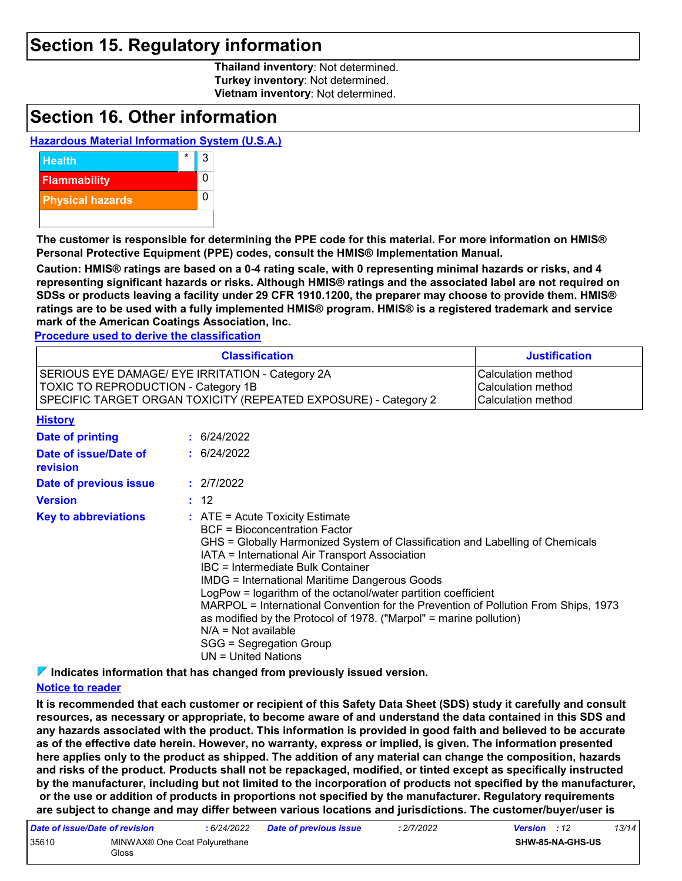### **Section 15. Regulatory information**

**Thailand inventory**: Not determined. **Turkey inventory**: Not determined. **Vietnam inventory**: Not determined.

### **Section 16. Other information**

#### **Hazardous Material Information System (U.S.A.)**



**The customer is responsible for determining the PPE code for this material. For more information on HMIS® Personal Protective Equipment (PPE) codes, consult the HMIS® Implementation Manual.**

**Caution: HMIS® ratings are based on a 0-4 rating scale, with 0 representing minimal hazards or risks, and 4 representing significant hazards or risks. Although HMIS® ratings and the associated label are not required on SDSs or products leaving a facility under 29 CFR 1910.1200, the preparer may choose to provide them. HMIS® ratings are to be used with a fully implemented HMIS® program. HMIS® is a registered trademark and service mark of the American Coatings Association, Inc.**

**Procedure used to derive the classification**

|                                                                                                                                                                                                                                     |  | <b>Classification</b>                                                                                                                                                                                                                                                                                                                                                                                                                                                                                                                                                                                             | <b>Justification</b> |  |
|-------------------------------------------------------------------------------------------------------------------------------------------------------------------------------------------------------------------------------------|--|-------------------------------------------------------------------------------------------------------------------------------------------------------------------------------------------------------------------------------------------------------------------------------------------------------------------------------------------------------------------------------------------------------------------------------------------------------------------------------------------------------------------------------------------------------------------------------------------------------------------|----------------------|--|
| SERIOUS EYE DAMAGE/ EYE IRRITATION - Category 2A<br>Calculation method<br><b>TOXIC TO REPRODUCTION - Category 1B</b><br>Calculation method<br>SPECIFIC TARGET ORGAN TOXICITY (REPEATED EXPOSURE) - Category 2<br>Calculation method |  |                                                                                                                                                                                                                                                                                                                                                                                                                                                                                                                                                                                                                   |                      |  |
| <b>History</b>                                                                                                                                                                                                                      |  |                                                                                                                                                                                                                                                                                                                                                                                                                                                                                                                                                                                                                   |                      |  |
| Date of printing                                                                                                                                                                                                                    |  | : 6/24/2022                                                                                                                                                                                                                                                                                                                                                                                                                                                                                                                                                                                                       |                      |  |
| Date of issue/Date of<br>revision                                                                                                                                                                                                   |  | : 6/24/2022                                                                                                                                                                                                                                                                                                                                                                                                                                                                                                                                                                                                       |                      |  |
| Date of previous issue                                                                                                                                                                                                              |  | : 2/7/2022                                                                                                                                                                                                                                                                                                                                                                                                                                                                                                                                                                                                        |                      |  |
| <b>Version</b>                                                                                                                                                                                                                      |  | : 12                                                                                                                                                                                                                                                                                                                                                                                                                                                                                                                                                                                                              |                      |  |
| <b>Key to abbreviations</b>                                                                                                                                                                                                         |  | $:$ ATE = Acute Toxicity Estimate<br><b>BCF</b> = Bioconcentration Factor<br>GHS = Globally Harmonized System of Classification and Labelling of Chemicals<br>IATA = International Air Transport Association<br>IBC = Intermediate Bulk Container<br><b>IMDG</b> = International Maritime Dangerous Goods<br>LogPow = logarithm of the octanol/water partition coefficient<br>MARPOL = International Convention for the Prevention of Pollution From Ships, 1973<br>as modified by the Protocol of 1978. ("Marpol" = marine pollution)<br>$N/A = Not available$<br>SGG = Segregation Group<br>UN = United Nations |                      |  |

**Indicates information that has changed from previously issued version.**

#### **Notice to reader**

**It is recommended that each customer or recipient of this Safety Data Sheet (SDS) study it carefully and consult resources, as necessary or appropriate, to become aware of and understand the data contained in this SDS and any hazards associated with the product. This information is provided in good faith and believed to be accurate as of the effective date herein. However, no warranty, express or implied, is given. The information presented here applies only to the product as shipped. The addition of any material can change the composition, hazards and risks of the product. Products shall not be repackaged, modified, or tinted except as specifically instructed by the manufacturer, including but not limited to the incorporation of products not specified by the manufacturer, or the use or addition of products in proportions not specified by the manufacturer. Regulatory requirements are subject to change and may differ between various locations and jurisdictions. The customer/buyer/user is** 

| Date of issue/Date of revision |                                        | : 6/24/2022 | <b>Date of previous issue</b> | $\cdot$ 2/7/2022 | <b>Version</b> : 12     |  | 13/14 |
|--------------------------------|----------------------------------------|-------------|-------------------------------|------------------|-------------------------|--|-------|
| 35610                          | MINWAX® One Coat Polyurethane<br>Gloss |             |                               |                  | <b>SHW-85-NA-GHS-US</b> |  |       |